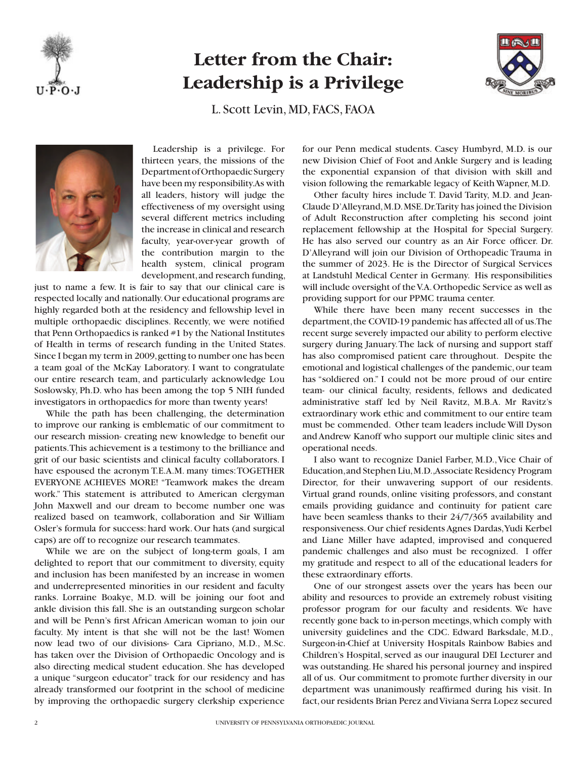

## **Letter from the Chair: Leadership is a Privilege**



L. Scott Levin, MD, FACS, FAOA



Leadership is a privilege. For thirteen years, the missions of the Department of Orthopaedic Surgery have been my responsibility. As with all leaders, history will judge the effectiveness of my oversight using several different metrics including the increase in clinical and research faculty, year-over-year growth of the contribution margin to the health system, clinical program development, and research funding,

just to name a few. It is fair to say that our clinical care is respected locally and nationally. Our educational programs are highly regarded both at the residency and fellowship level in multiple orthopaedic disciplines. Recently, we were notified that Penn Orthopaedics is ranked #1 by the National Institutes of Health in terms of research funding in the United States. Since I began my term in 2009, getting to number one has been a team goal of the McKay Laboratory. I want to congratulate our entire research team, and particularly acknowledge Lou Soslowsky, Ph.D. who has been among the top 5 NIH funded investigators in orthopaedics for more than twenty years!

While the path has been challenging, the determination to improve our ranking is emblematic of our commitment to our research mission- creating new knowledge to benefit our patients. This achievement is a testimony to the brilliance and grit of our basic scientists and clinical faculty collaborators. I have espoused the acronym T.E.A.M. many times: TOGETHER EVERYONE ACHIEVES MORE! "Teamwork makes the dream work." This statement is attributed to American clergyman John Maxwell and our dream to become number one was realized based on teamwork, collaboration and Sir William Osler's formula for success: hard work. Our hats (and surgical caps) are off to recognize our research teammates.

While we are on the subject of long-term goals, I am delighted to report that our commitment to diversity, equity and inclusion has been manifested by an increase in women and underrepresented minorities in our resident and faculty ranks. Lorraine Boakye, M.D. will be joining our foot and ankle division this fall. She is an outstanding surgeon scholar and will be Penn's first African American woman to join our faculty. My intent is that she will not be the last! Women now lead two of our divisions- Cara Cipriano, M.D., M.Sc. has taken over the Division of Orthopaedic Oncology and is also directing medical student education. She has developed a unique "surgeon educator" track for our residency and has already transformed our footprint in the school of medicine by improving the orthopaedic surgery clerkship experience

for our Penn medical students. Casey Humbyrd, M.D. is our new Division Chief of Foot and Ankle Surgery and is leading the exponential expansion of that division with skill and vision following the remarkable legacy of Keith Wapner, M.D.

Other faculty hires include T. David Tarity, M.D. and Jean-Claude D'Alleyrand, M.D. MSE. Dr. Tarity has joined the Division of Adult Reconstruction after completing his second joint replacement fellowship at the Hospital for Special Surgery. He has also served our country as an Air Force officer. Dr. D'Alleyrand will join our Division of Orthopeadic Trauma in the summer of 2023. He is the Director of Surgical Services at Landstuhl Medical Center in Germany. His responsibilities will include oversight of the V.A. Orthopedic Service as well as providing support for our PPMC trauma center.

While there have been many recent successes in the department, the COVID-19 pandemic has affected all of us. The recent surge severely impacted our ability to perform elective surgery during January. The lack of nursing and support staff has also compromised patient care throughout. Despite the emotional and logistical challenges of the pandemic, our team has "soldiered on." I could not be more proud of our entire team- our clinical faculty, residents, fellows and dedicated administrative staff led by Neil Ravitz, M.B.A. Mr Ravitz's extraordinary work ethic and commitment to our entire team must be commended. Other team leaders include Will Dyson and Andrew Kanoff who support our multiple clinic sites and operational needs.

I also want to recognize Daniel Farber, M.D., Vice Chair of Education, and Stephen Liu, M.D., Associate Residency Program Director, for their unwavering support of our residents. Virtual grand rounds, online visiting professors, and constant emails providing guidance and continuity for patient care have been seamless thanks to their 24/7/365 availability and responsiveness. Our chief residents Agnes Dardas, Yudi Kerbel and Liane Miller have adapted, improvised and conquered pandemic challenges and also must be recognized. I offer my gratitude and respect to all of the educational leaders for these extraordinary efforts.

One of our strongest assets over the years has been our ability and resources to provide an extremely robust visiting professor program for our faculty and residents. We have recently gone back to in-person meetings, which comply with university guidelines and the CDC. Edward Barksdale, M.D., Surgeon-in-Chief at University Hospitals Rainbow Babies and Children's Hospital, served as our inaugural DEI Lecturer and was outstanding. He shared his personal journey and inspired all of us. Our commitment to promote further diversity in our department was unanimously reaffirmed during his visit. In fact, our residents Brian Perez and Viviana Serra Lopez secured